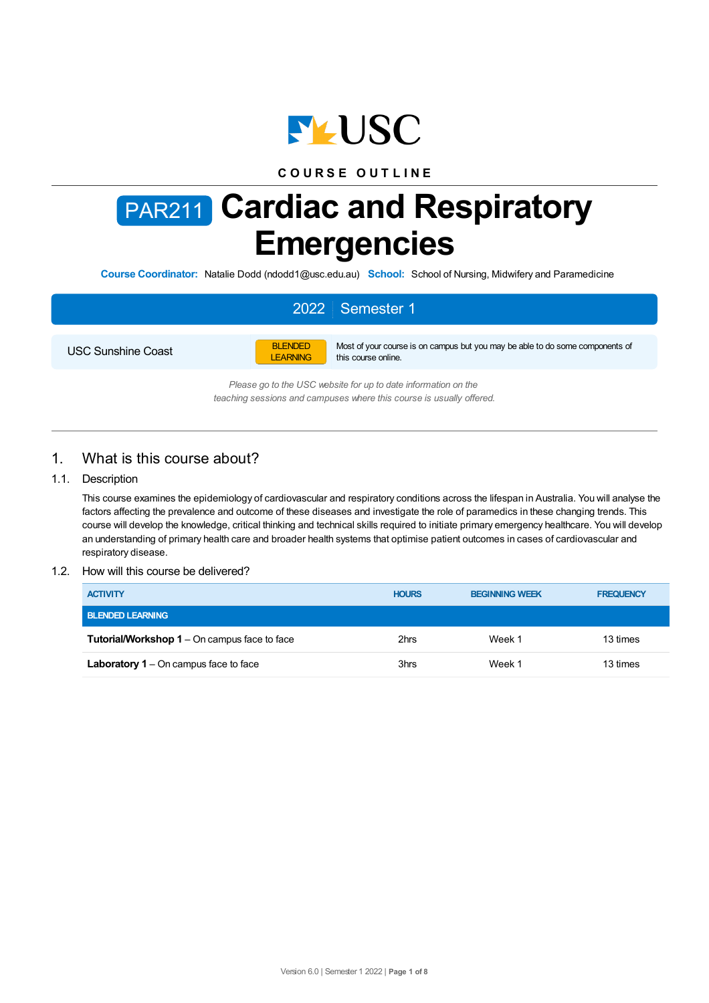

## **C O U R S E O U T L I N E**

# PAR211 **Cardiac and Respiratory Emergencies**

**Course Coordinator:** Natalie Dodd (ndodd1@usc.edu.au) **School:** School of Nursing, Midwifery and Paramedicine

# 2022 Semester 1

USC Sunshine Coast



Most of your course is on campus but you may be able to do some components of this course online.

*Please go to the USC website for up to date information on the teaching sessions and campuses where this course is usually offered.*

# 1. What is this course about?

## 1.1. Description

This course examines the epidemiology of cardiovascular and respiratory conditions across the lifespan in Australia. You will analyse the factors affecting the prevalence and outcome of these diseases and investigate the role of paramedics in these changing trends. This course will develop the knowledge, critical thinking and technical skills required to initiate primary emergency healthcare. You will develop an understanding of primary health care and broader health systems that optimise patient outcomes in cases of cardiovascular and respiratory disease.

#### 1.2. How will this course be delivered?

| <b>ACTIVITY</b>                                     | <b>HOURS</b> | <b>BEGINNING WEEK</b> | <b>FREQUENCY</b> |
|-----------------------------------------------------|--------------|-----------------------|------------------|
| <b>BLENDED LEARNING</b>                             |              |                       |                  |
| <b>Tutorial/Workshop 1</b> – On campus face to face | 2hrs         | Week 1                | 13 times         |
| Laboratory $1 -$ On campus face to face             | 3hrs         | Week 1                | 13 times         |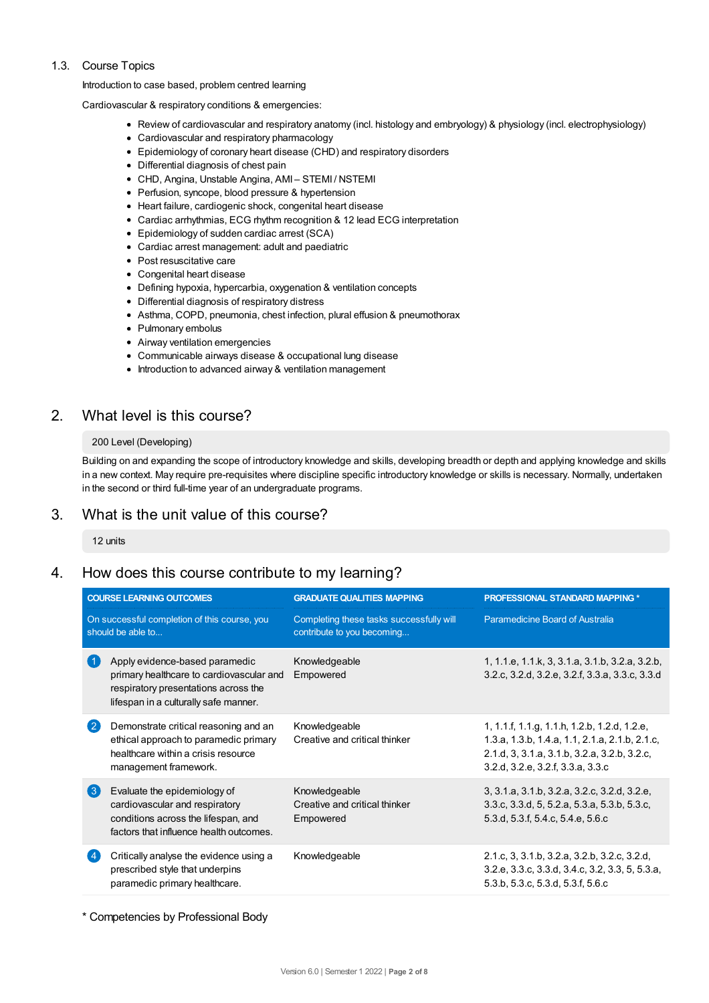## 1.3. Course Topics

Introduction to case based, problem centred learning

Cardiovascular & respiratory conditions & emergencies:

- Review of cardiovascular and respiratory anatomy (incl. histology and embryology) & physiology (incl. electrophysiology)
- Cardiovascular and respiratory pharmacology
- Epidemiology of coronary heart disease (CHD) and respiratory disorders
- Differential diagnosis of chest pain
- CHD, Angina, Unstable Angina, AMI STEMI / NSTEMI
- Perfusion, syncope, blood pressure & hypertension
- Heart failure, cardiogenic shock, congenital heart disease
- Cardiac arrhythmias, ECG rhythm recognition & 12 lead ECG interpretation
- Epidemiology of sudden cardiac arrest (SCA)
- Cardiac arrest management: adult and paediatric
- Post resuscitative care
- Congenital heart disease
- Defining hypoxia, hypercarbia, oxygenation & ventilation concepts
- Differential diagnosis of respiratory distress
- Asthma, COPD, pneumonia, chest infection, plural effusion & pneumothorax
- Pulmonary embolus
- Airway ventilation emergencies
- Communicable airways disease & occupational lung disease
- Introduction to advanced airway & ventilation management

# 2. What level is this course?

## 200 Level (Developing)

Building on and expanding the scope of introductory knowledge and skills, developing breadth or depth and applying knowledge and skills in a new context. May require pre-requisites where discipline specific introductory knowledge or skills is necessary. Normally, undertaken in the second or third full-time year of an undergraduate programs.

# 3. What is the unit value of this course?

12 units

# 4. How does this course contribute to my learning?

| <b>COURSE LEARNING OUTCOMES</b>                                   |                                                                                                                                                             | <b>GRADUATE QUALITIES MAPPING</b>                                      | <b>PROFESSIONAL STANDARD MAPPING *</b>                                                                                                                                              |
|-------------------------------------------------------------------|-------------------------------------------------------------------------------------------------------------------------------------------------------------|------------------------------------------------------------------------|-------------------------------------------------------------------------------------------------------------------------------------------------------------------------------------|
| On successful completion of this course, you<br>should be able to |                                                                                                                                                             | Completing these tasks successfully will<br>contribute to you becoming | Paramedicine Board of Australia                                                                                                                                                     |
|                                                                   | Apply evidence-based paramedic<br>primary healthcare to cardiovascular and<br>respiratory presentations across the<br>lifespan in a culturally safe manner. | Knowledgeable<br>Empowered                                             | 1, 1.1.e, 1.1.k, 3, 3.1.a, 3.1.b, 3.2.a, 3.2.b,<br>3.2.c, 3.2.d, 3.2.e, 3.2.f, 3.3.a, 3.3.c, 3.3.d                                                                                  |
| -2                                                                | Demonstrate critical reasoning and an<br>ethical approach to paramedic primary<br>healthcare within a crisis resource<br>management framework.              | Knowledgeable<br>Creative and critical thinker                         | 1, 1.1.f, 1.1.g, 1.1.h, 1.2.b, 1.2.d, 1.2.e,<br>1.3.a, 1.3.b, 1.4.a, 1.1, 2.1.a, 2.1.b, 2.1.c,<br>2.1.d, 3, 3.1.a, 3.1.b, 3.2.a, 3.2.b, 3.2.c,<br>3.2.d, 3.2.e, 3.2.f, 3.3.a, 3.3.c |
| $\left(3\right)$                                                  | Evaluate the epidemiology of<br>cardiovascular and respiratory<br>conditions across the lifespan, and<br>factors that influence health outcomes.            | Knowledgeable<br>Creative and critical thinker<br>Empowered            | 3, 3.1.a, 3.1.b, 3.2.a, 3.2.c, 3.2.d, 3.2.e,<br>3.3.c, 3.3.d, 5, 5.2.a, 5.3.a, 5.3.b, 5.3.c,<br>5.3.d, 5.3.f, 5.4.c, 5.4.e, 5.6.c                                                   |
|                                                                   | Critically analyse the evidence using a<br>prescribed style that underpins<br>paramedic primary healthcare.                                                 | Knowledgeable                                                          | 2.1.c, 3, 3.1.b, 3.2.a, 3.2.b, 3.2.c, 3.2.d,<br>3.2.e, 3.3.c, 3.3.d, 3.4.c, 3.2, 3.3, 5, 5.3.a,<br>5.3.b, 5.3.c, 5.3.d, 5.3.f, 5.6.c                                                |

\* Competencies by Professional Body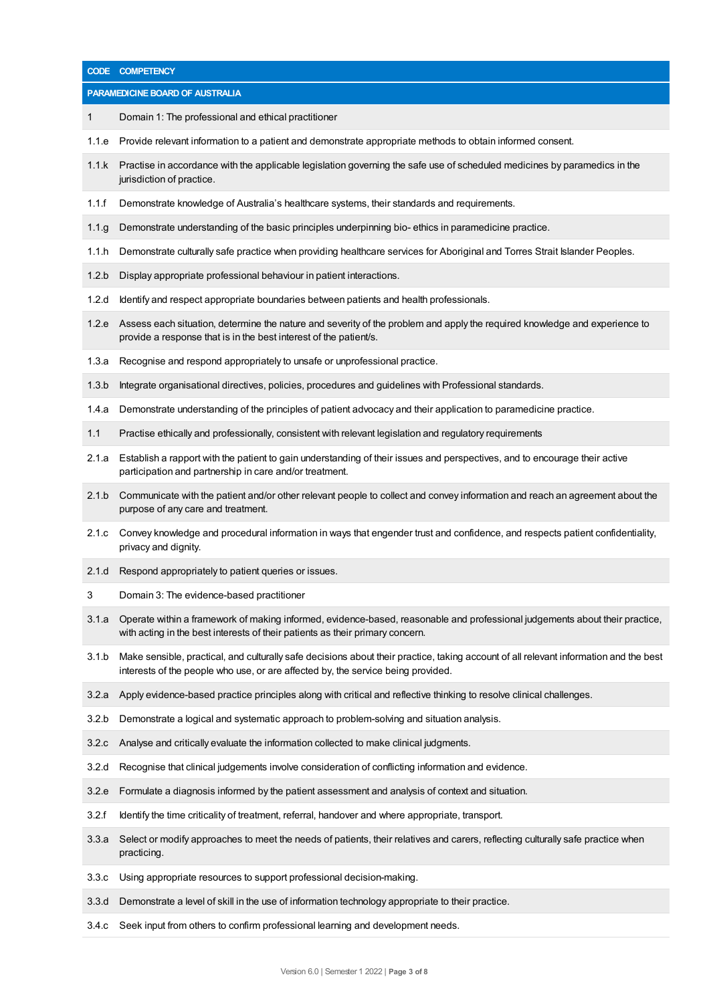|       | CODE COMPETENCY                                                                                                                                                                                                           |  |  |  |  |  |
|-------|---------------------------------------------------------------------------------------------------------------------------------------------------------------------------------------------------------------------------|--|--|--|--|--|
|       | PARAMEDICINE BOARD OF AUSTRALIA                                                                                                                                                                                           |  |  |  |  |  |
| 1     | Domain 1: The professional and ethical practitioner                                                                                                                                                                       |  |  |  |  |  |
| 1.1.e | Provide relevant information to a patient and demonstrate appropriate methods to obtain informed consent.                                                                                                                 |  |  |  |  |  |
| 1.1.k | Practise in accordance with the applicable legislation governing the safe use of scheduled medicines by paramedics in the<br>jurisdiction of practice.                                                                    |  |  |  |  |  |
| 1.1.f | Demonstrate knowledge of Australia's healthcare systems, their standards and requirements.                                                                                                                                |  |  |  |  |  |
| 1.1.g | Demonstrate understanding of the basic principles underpinning bio-ethics in paramedicine practice.                                                                                                                       |  |  |  |  |  |
| 1.1.h | Demonstrate culturally safe practice when providing healthcare services for Aboriginal and Torres Strait Islander Peoples.                                                                                                |  |  |  |  |  |
| 1.2.b | Display appropriate professional behaviour in patient interactions.                                                                                                                                                       |  |  |  |  |  |
| 1.2.d | Identify and respect appropriate boundaries between patients and health professionals.                                                                                                                                    |  |  |  |  |  |
| 1.2.e | Assess each situation, determine the nature and severity of the problem and apply the required knowledge and experience to<br>provide a response that is in the best interest of the patient/s.                           |  |  |  |  |  |
| 1.3.a | Recognise and respond appropriately to unsafe or unprofessional practice.                                                                                                                                                 |  |  |  |  |  |
| 1.3.b | Integrate organisational directives, policies, procedures and guidelines with Professional standards.                                                                                                                     |  |  |  |  |  |
| 1.4.a | Demonstrate understanding of the principles of patient advocacy and their application to paramedicine practice.                                                                                                           |  |  |  |  |  |
| 1.1   | Practise ethically and professionally, consistent with relevant legislation and regulatory requirements                                                                                                                   |  |  |  |  |  |
| 2.1.a | Establish a rapport with the patient to gain understanding of their issues and perspectives, and to encourage their active<br>participation and partnership in care and/or treatment.                                     |  |  |  |  |  |
| 2.1.b | Communicate with the patient and/or other relevant people to collect and convey information and reach an agreement about the<br>purpose of any care and treatment.                                                        |  |  |  |  |  |
| 2.1.c | Convey knowledge and procedural information in ways that engender trust and confidence, and respects patient confidentiality,<br>privacy and dignity.                                                                     |  |  |  |  |  |
| 2.1.d | Respond appropriately to patient queries or issues.                                                                                                                                                                       |  |  |  |  |  |
|       | Domain 3: The evidence-based practitioner                                                                                                                                                                                 |  |  |  |  |  |
| 3.1.a | Operate within a framework of making informed, evidence-based, reasonable and professional judgements about their practice,<br>with acting in the best interests of their patients as their primary concern.              |  |  |  |  |  |
| 3.1.b | Make sensible, practical, and culturally safe decisions about their practice, taking account of all relevant information and the best<br>interests of the people who use, or are affected by, the service being provided. |  |  |  |  |  |
| 3.2.a | Apply evidence-based practice principles along with critical and reflective thinking to resolve clinical challenges.                                                                                                      |  |  |  |  |  |
| 3.2.b | Demonstrate a logical and systematic approach to problem-solving and situation analysis.                                                                                                                                  |  |  |  |  |  |
| 3.2.c | Analyse and critically evaluate the information collected to make clinical judgments.                                                                                                                                     |  |  |  |  |  |
| 3.2.d | Recognise that clinical judgements involve consideration of conflicting information and evidence.                                                                                                                         |  |  |  |  |  |
| 3.2.e | Formulate a diagnosis informed by the patient assessment and analysis of context and situation.                                                                                                                           |  |  |  |  |  |
| 3.2.f | Identify the time criticality of treatment, referral, handover and where appropriate, transport.                                                                                                                          |  |  |  |  |  |
| 3.3.a | Select or modify approaches to meet the needs of patients, their relatives and carers, reflecting culturally safe practice when<br>practicing.                                                                            |  |  |  |  |  |
| 3.3.c | Using appropriate resources to support professional decision-making.                                                                                                                                                      |  |  |  |  |  |
| 3.3.d | Demonstrate a level of skill in the use of information technology appropriate to their practice.                                                                                                                          |  |  |  |  |  |
| 3.4.c | Seek input from others to confirm professional learning and development needs.                                                                                                                                            |  |  |  |  |  |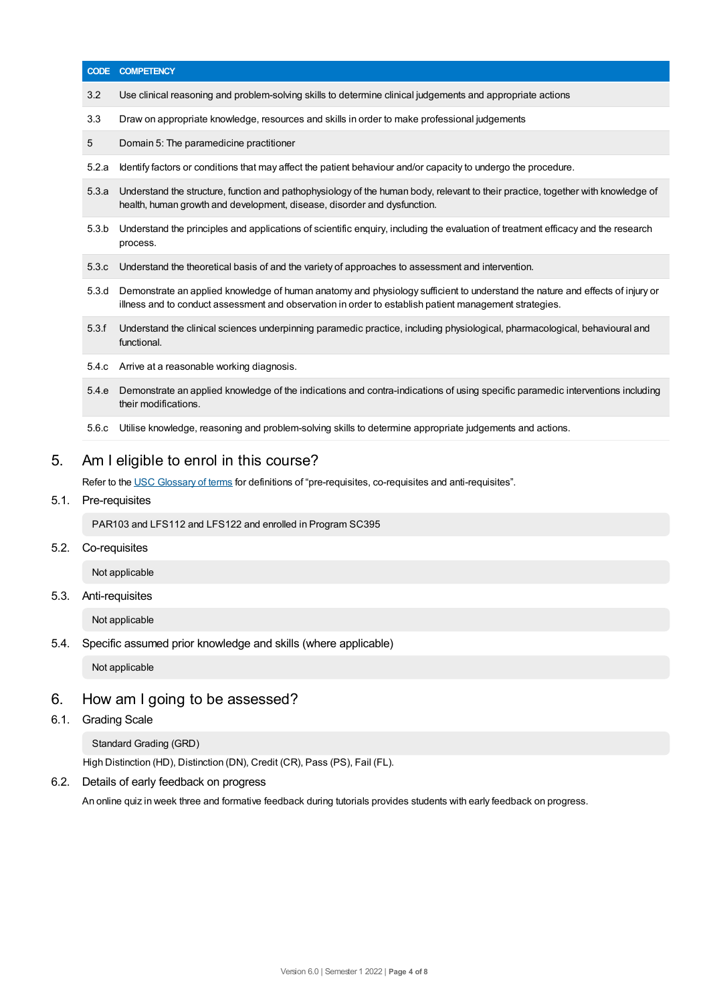|       | <b>CODE COMPETENCY</b>                                                                                                                                                                                                                  |
|-------|-----------------------------------------------------------------------------------------------------------------------------------------------------------------------------------------------------------------------------------------|
| 3.2   | Use clinical reasoning and problem-solving skills to determine clinical judgements and appropriate actions                                                                                                                              |
| 3.3   | Draw on appropriate knowledge, resources and skills in order to make professional judgements                                                                                                                                            |
| 5     | Domain 5: The paramedicine practitioner                                                                                                                                                                                                 |
| 5.2.a | Identify factors or conditions that may affect the patient behaviour and/or capacity to undergo the procedure.                                                                                                                          |
| 5.3.a | Understand the structure, function and pathophysiology of the human body, relevant to their practice, together with knowledge of<br>health, human growth and development, disease, disorder and dysfunction.                            |
| 5.3.b | Understand the principles and applications of scientific enguiry, including the evaluation of treatment efficacy and the research<br>process.                                                                                           |
| 5.3.c | Understand the theoretical basis of and the variety of approaches to assessment and intervention.                                                                                                                                       |
| 5.3.d | Demonstrate an applied knowledge of human anatomy and physiology sufficient to understand the nature and effects of injury or<br>illness and to conduct assessment and observation in order to establish patient management strategies. |
| 5.3.f | Understand the clinical sciences underpinning paramedic practice, including physiological, pharmacological, behavioural and<br>functional.                                                                                              |
| 5.4.c | Arrive at a reasonable working diagnosis.                                                                                                                                                                                               |
| 5.4.e | Demonstrate an applied knowledge of the indications and contra-indications of using specific paramedic interventions including<br>their modifications.                                                                                  |
|       | Utilise knowledge, reasoning and problem-solving skills to determine appropriate judgements and actions.                                                                                                                                |

PAR103 and LFS112 and LFS122 and enrolled in Program SC395

5.2. Co-requisites

 $5.1.$ 

Not applicable

5.3. Anti-requisites

Not applicable

5.4. Specific assumed prior knowledge and skills (where applicable)

Not applicable

# 6. How am Igoing to be assessed?

6.1. Grading Scale

Standard Grading (GRD)

High Distinction (HD), Distinction (DN), Credit (CR), Pass (PS), Fail (FL).

6.2. Details of early feedback on progress

An online quiz in week three and formative feedback during tutorials provides students with early feedback on progress.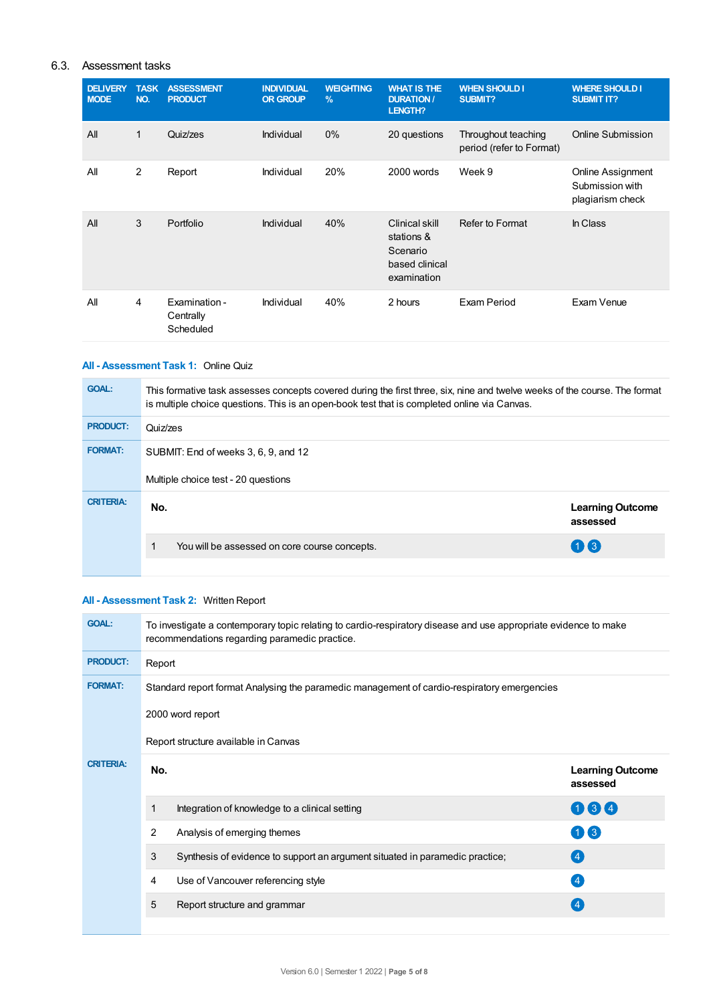## 6.3. Assessment tasks

| <b>DELIVERY</b><br><b>MODE</b> | <b>TASK</b><br>NO. | <b>ASSESSMENT</b><br><b>PRODUCT</b>     | <b>INDIVIDUAL</b><br><b>OR GROUP</b> | <b>WEIGHTING</b><br>$\frac{9}{6}$ | <b>WHAT IS THE</b><br><b>DURATION /</b><br>LENGTH?                        | <b>WHEN SHOULD I</b><br><b>SUBMIT?</b>          | <b>WHERE SHOULD I</b><br><b>SUBMIT IT?</b>               |
|--------------------------------|--------------------|-----------------------------------------|--------------------------------------|-----------------------------------|---------------------------------------------------------------------------|-------------------------------------------------|----------------------------------------------------------|
| All                            | $\mathbf{1}$       | Quiz/zes                                | Individual                           | 0%                                | 20 questions                                                              | Throughout teaching<br>period (refer to Format) | <b>Online Submission</b>                                 |
| All                            | 2                  | Report                                  | Individual                           | 20%                               | 2000 words                                                                | Week 9                                          | Online Assignment<br>Submission with<br>plagiarism check |
| All                            | 3                  | Portfolio                               | Individual                           | 40%                               | Clinical skill<br>stations &<br>Scenario<br>based clinical<br>examination | Refer to Format                                 | In Class                                                 |
| All                            | 4                  | Examination -<br>Centrally<br>Scheduled | Individual                           | 40%                               | 2 hours                                                                   | Exam Period                                     | Exam Venue                                               |

## **All - Assessment Task 1:** Online Quiz

| <b>GOAL:</b>     | This formative task assesses concepts covered during the first three, six, nine and twelve weeks of the course. The format<br>is multiple choice questions. This is an open-book test that is completed online via Canvas. |                                     |  |  |  |
|------------------|----------------------------------------------------------------------------------------------------------------------------------------------------------------------------------------------------------------------------|-------------------------------------|--|--|--|
| <b>PRODUCT:</b>  | Quiz/zes                                                                                                                                                                                                                   |                                     |  |  |  |
| <b>FORMAT:</b>   | SUBMIT: End of weeks 3, 6, 9, and 12<br>Multiple choice test - 20 questions                                                                                                                                                |                                     |  |  |  |
| <b>CRITERIA:</b> | No.                                                                                                                                                                                                                        | <b>Learning Outcome</b><br>assessed |  |  |  |
|                  | You will be assessed on core course concepts.                                                                                                                                                                              | $(1)$ $(3)$                         |  |  |  |

## **All - Assessment Task 2:** Written Report

| <b>GOAL:</b>     | To investigate a contemporary topic relating to cardio-respiratory disease and use appropriate evidence to make<br>recommendations regarding paramedic practice. |                                                                              |                                     |  |  |  |
|------------------|------------------------------------------------------------------------------------------------------------------------------------------------------------------|------------------------------------------------------------------------------|-------------------------------------|--|--|--|
| <b>PRODUCT:</b>  | Report                                                                                                                                                           |                                                                              |                                     |  |  |  |
| <b>FORMAT:</b>   | Standard report format Analysing the paramedic management of cardio-respiratory emergencies                                                                      |                                                                              |                                     |  |  |  |
|                  | 2000 word report                                                                                                                                                 |                                                                              |                                     |  |  |  |
|                  | Report structure available in Canvas                                                                                                                             |                                                                              |                                     |  |  |  |
| <b>CRITERIA:</b> | No.                                                                                                                                                              |                                                                              | <b>Learning Outcome</b><br>assessed |  |  |  |
|                  | 1                                                                                                                                                                | Integration of knowledge to a clinical setting                               | 064                                 |  |  |  |
|                  | 2                                                                                                                                                                | Analysis of emerging themes                                                  | $\mathbf{1}$ $\mathbf{3}$           |  |  |  |
|                  | 3                                                                                                                                                                | Synthesis of evidence to support an argument situated in paramedic practice; | (4)                                 |  |  |  |
|                  |                                                                                                                                                                  |                                                                              |                                     |  |  |  |
|                  | 4                                                                                                                                                                | Use of Vancouver referencing style                                           | $\left( 4 \right)$                  |  |  |  |
|                  | 5                                                                                                                                                                | Report structure and grammar                                                 | $\left( 4 \right)$                  |  |  |  |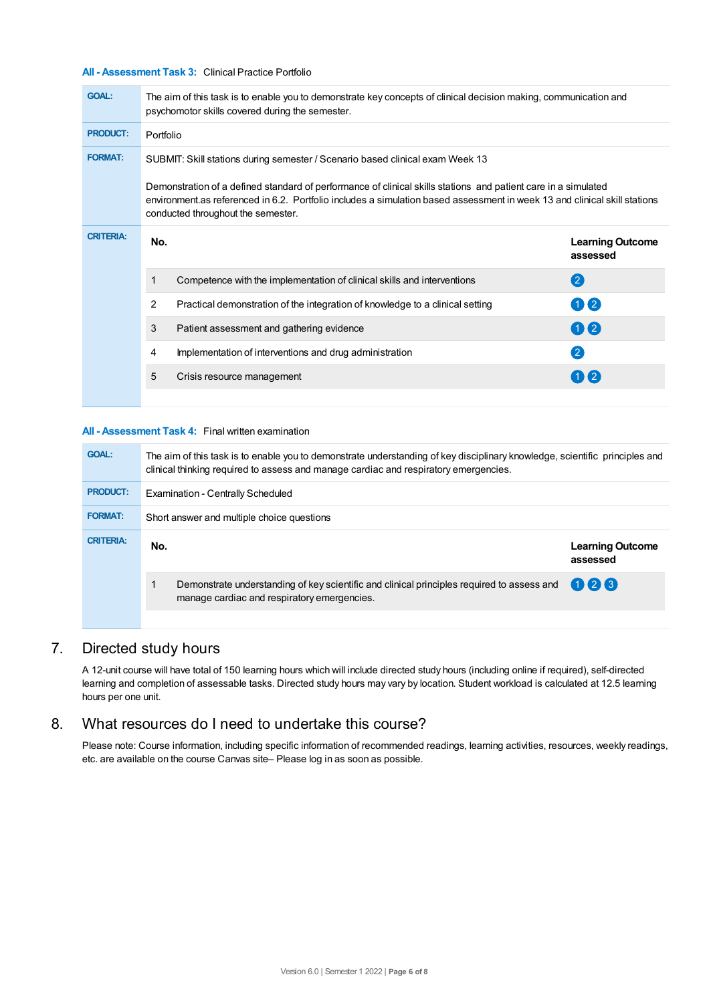## **All - Assessment Task 3:** Clinical Practice Portfolio

| <b>GOAL:</b>     | The aim of this task is to enable you to demonstrate key concepts of clinical decision making, communication and<br>psychomotor skills covered during the semester.                                                                                                               |                                     |  |  |  |  |
|------------------|-----------------------------------------------------------------------------------------------------------------------------------------------------------------------------------------------------------------------------------------------------------------------------------|-------------------------------------|--|--|--|--|
| <b>PRODUCT:</b>  | Portfolio                                                                                                                                                                                                                                                                         |                                     |  |  |  |  |
| <b>FORMAT:</b>   | SUBMIT: Skill stations during semester / Scenario based clinical exam Week 13                                                                                                                                                                                                     |                                     |  |  |  |  |
|                  | Demonstration of a defined standard of performance of clinical skills stations and patient care in a simulated<br>environment as referenced in 6.2. Portfolio includes a simulation based assessment in week 13 and clinical skill stations<br>conducted throughout the semester. |                                     |  |  |  |  |
| <b>CRITERIA:</b> | No.                                                                                                                                                                                                                                                                               | <b>Learning Outcome</b><br>assessed |  |  |  |  |
|                  | Competence with the implementation of clinical skills and interventions<br>1                                                                                                                                                                                                      | $\left( 2\right)$                   |  |  |  |  |
|                  | 2<br>Practical demonstration of the integration of knowledge to a clinical setting                                                                                                                                                                                                | 02                                  |  |  |  |  |
|                  | 3<br>Patient assessment and gathering evidence                                                                                                                                                                                                                                    | 00                                  |  |  |  |  |
|                  | Implementation of interventions and drug administration<br>4                                                                                                                                                                                                                      | $\left( 2\right)$                   |  |  |  |  |
|                  | 5<br>Crisis resource management                                                                                                                                                                                                                                                   | $(1)$ $(2)$                         |  |  |  |  |
|                  |                                                                                                                                                                                                                                                                                   |                                     |  |  |  |  |

#### **All - Assessment Task 4:** Final written examination

| <b>GOAL:</b>     | The aim of this task is to enable you to demonstrate understanding of key disciplinary knowledge, scientific principles and<br>clinical thinking required to assess and manage cardiac and respiratory emergencies. |                                     |  |  |
|------------------|---------------------------------------------------------------------------------------------------------------------------------------------------------------------------------------------------------------------|-------------------------------------|--|--|
| <b>PRODUCT:</b>  | <b>Examination - Centrally Scheduled</b>                                                                                                                                                                            |                                     |  |  |
| <b>FORMAT:</b>   | Short answer and multiple choice questions                                                                                                                                                                          |                                     |  |  |
| <b>CRITERIA:</b> | No.                                                                                                                                                                                                                 | <b>Learning Outcome</b><br>assessed |  |  |
|                  | Demonstrate understanding of key scientific and clinical principles required to assess and<br>manage cardiac and respiratory emergencies.                                                                           | 026                                 |  |  |
|                  |                                                                                                                                                                                                                     |                                     |  |  |

# 7. Directed study hours

A 12-unit course will have total of 150 learning hours which will include directed study hours (including online if required), self-directed learning and completion of assessable tasks. Directed study hours may vary by location. Student workload is calculated at 12.5 learning hours per one unit.

# 8. What resources do I need to undertake this course?

Please note: Course information, including specific information of recommended readings, learning activities, resources, weekly readings, etc. are available on the course Canvas site– Please log in as soon as possible.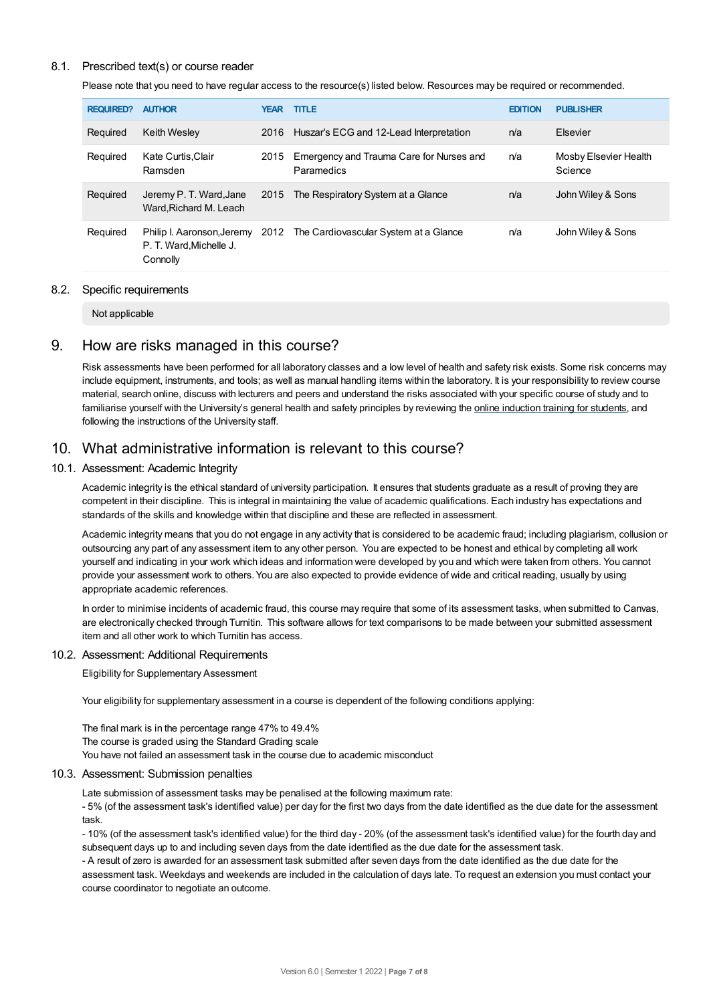### 8.1. Prescribed text(s) or course reader

Please note that you need to have regular access to the resource(s) listed below. Resources may be required or recommended.

| <b>REQUIRED?</b> | <b>AUTHOR</b>                                                    | <b>YEAR</b> | <b>TITLE</b>                                           | <b>EDITION</b> | <b>PUBLISHER</b>                 |
|------------------|------------------------------------------------------------------|-------------|--------------------------------------------------------|----------------|----------------------------------|
| Required         | <b>Keith Wesley</b>                                              | 2016        | Huszar's ECG and 12-Lead Interpretation                | n/a            | Elsevier                         |
| Required         | Kate Curtis, Clair<br>Ramsden                                    | 2015        | Emergency and Trauma Care for Nurses and<br>Paramedics | n/a            | Mosby Elsevier Health<br>Science |
| Required         | Jeremy P. T. Ward, Jane<br>Ward.Richard M. Leach                 | 2015        | The Respiratory System at a Glance                     | n/a            | John Wiley & Sons                |
| Required         | Philip I. Aaronson, Jeremy<br>P. T. Ward.Michelle J.<br>Connolly | 2012        | The Cardiovascular System at a Glance                  | n/a            | John Wiley & Sons                |

#### 8.2. Specific requirements

Not applicable

## 9. How are risks managed in this course?

Risk assessments have been performed for all laboratory classes and a low level of health and safety risk exists. Some risk concerns may include equipment, instruments, and tools; as well as manual handling items within the laboratory. It is your responsibility to review course material, search online, discuss with lecturers and peers and understand the risks associated with your specific course of study and to familiarise yourself with the University's general health and safety principles by reviewing the online [induction](https://online.usc.edu.au/webapps/blackboard/content/listContentEditable.jsp?content_id=_632657_1&course_id=_14432_1) training for students, and following the instructions of the University staff.

## 10. What administrative information is relevant to this course?

### 10.1. Assessment: Academic Integrity

Academic integrity is the ethical standard of university participation. It ensures that students graduate as a result of proving they are competent in their discipline. This is integral in maintaining the value of academic qualifications. Each industry has expectations and standards of the skills and knowledge within that discipline and these are reflected in assessment.

Academic integrity means that you do not engage in any activity that is considered to be academic fraud; including plagiarism, collusion or outsourcing any part of any assessment item to any other person. You are expected to be honest and ethical by completing all work yourself and indicating in your work which ideas and information were developed by you and which were taken from others. You cannot provide your assessment work to others.You are also expected to provide evidence of wide and critical reading, usually by using appropriate academic references.

In order to minimise incidents of academic fraud, this course may require that some of its assessment tasks, when submitted to Canvas, are electronically checked through Turnitin. This software allows for text comparisons to be made between your submitted assessment item and all other work to which Turnitin has access.

#### 10.2. Assessment: Additional Requirements

Eligibility for Supplementary Assessment

Your eligibility for supplementary assessment in a course is dependent of the following conditions applying:

The final mark is in the percentage range 47% to 49.4% The course is graded using the Standard Grading scale You have not failed an assessment task in the course due to academic misconduct

#### 10.3. Assessment: Submission penalties

Late submission of assessment tasks may be penalised at the following maximum rate:

- 5% (of the assessment task's identified value) per day for the first two days from the date identified as the due date for the assessment task.

- 10% (of the assessment task's identified value) for the third day - 20% (of the assessment task's identified value) for the fourth day and subsequent days up to and including seven days from the date identified as the due date for the assessment task.

- A result of zero is awarded for an assessment task submitted after seven days from the date identified as the due date for the assessment task. Weekdays and weekends are included in the calculation of days late. To request an extension you must contact your course coordinator to negotiate an outcome.